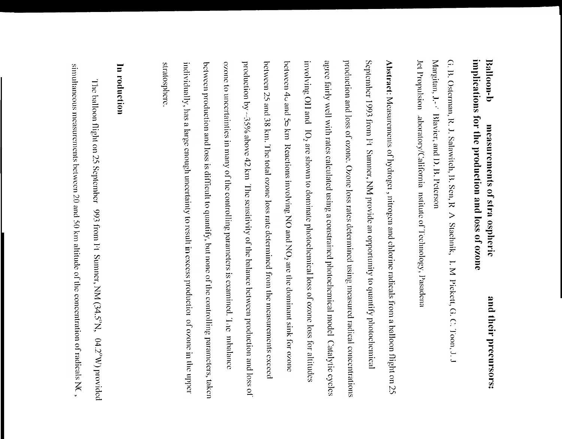# implications for the production and loss of ozone Balloon-b measurements of stra ospheric

Jet Propulsion aboratory/California nstitute of Technology, Pasadena Margitan, J.- TBlavier, and D. B. Peterson G. B. Osterman, R. J. Salawitch, B. Sen, R A Stachnik, I. M Pickett, G. C. Toon, J. J

production and loss of ozone. Ozone loss rates determined using measured radical concentrations agree fairly well with rates calculated using a constrained photochemical model Catalytic eyeles September 1993 from Ft Sumner, NM provide an opportunity to quantify photochemical Abstract: Measurements of hydroget, nitrogen and chlorine radicals from a balloon flight on 25 production by ~35% above 42 km. The sensitivity of the balance between production and loss of between 4s and 5s km Reactions involving NO and NO<sub>2</sub> are the dominant sink for ozone involving OII and 10<sub>2</sub> are shown to dominate photochemical loss of ozone loss for altitudes individually, has a large enough uncertainty to result in excess production of ozone in the upper between production and loss is difficult to quantify, but none of the controlling parameters, taken ozone to uncertainties in many of the controlling parameters is examined. The mbalance between 25 and 38 km. The total ozone loss rate determined from the measurements exceed stratosphere

# In roduction

simultaneous measurements between 20 and 50 km altitude of the concentration of radicals NC, The balloon flight on 25 September 993 from Ft Sunner, NM  $(34.5^{\circ}N, 04.2^{\circ}W)$  provided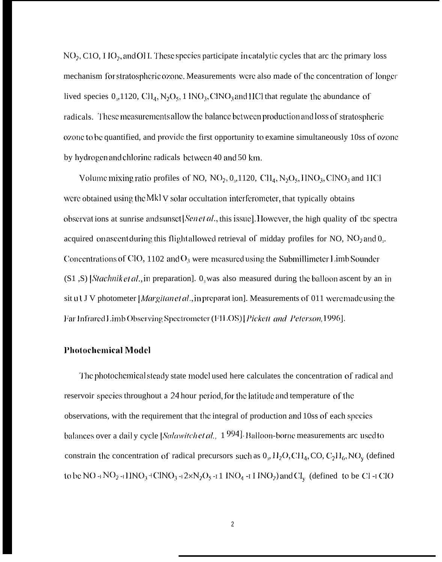$NO<sub>2</sub>$ , C1O, I IO<sub>2</sub>, and OH. These species participate in catalytic cycles that arc the primary loss mechanism for stratospheric ozone. Measurements were also made of the concentration of longer lived species  $0_{3}$ , 1120, CH<sub>4</sub>, N<sub>2</sub>O<sub>5</sub>, 1 INO<sub>3</sub>, ClNO<sub>3</sub> and HCl that regulate the abundance of radicals. These measurements allow the balance between production and loss of stratospheric ozone to be quantified, and provide the first opportunity to examine simultaneously 10ss of ozone by hydrogen and chlorine radicals between 40 and 50 km.

Volume mixing ratio profiles of NO,  $NO_2$ ,  $O_3$ , 1120,  $CH_4$ ,  $N_2O_5$ ,  $HNO_3$ ,  $CINO_3$  and  $HCI$ were obtained using the Mkl V solar occultation interferometer, that typically obtains observations at sunrise and sunset [Sen et al., this issue]. However, the high quality of the spectra acquired on ascent during this flight allowed retrieval of midday profiles for NO,  $NO<sub>2</sub>$  and  $O<sub>3</sub>$ . Concentrations of ClO, 1102 and  $O_3$  were measured using the Submillimeter Limb Sounder  $(S1, S)$  Stachnik et al., in preparation].  $0<sub>3</sub>$  was also measured during the balloon ascent by an in sit ull J V photometer [*Margitanet al.*, in preparat ion]. Measurements of 011 were made using the Far Infrared Limb Observing Spectrometer (FILOS) [Pickett and Peterson, 1996].

### **Photochemical Model**

The photochemical steady state model used here calculates the concentration of radical and reservoir species throughout a 24 hour period, for the latitude and temperature of the observations, with the requirement that the integral of production and 10ss of each species balances over a daily cycle [Salawitch et al.,  $1994$ ]. Balloon-borne measurements arc used to constrain the concentration of radical precursors such as  $0_3$ ,  $H_2O$ , CH<sub>4</sub>, CO, C<sub>2</sub>H<sub>6</sub>, NO<sub>y</sub> (defined to be NO- $\frac{1}{1}NO_2 - \frac{1}{1}INO_3 + \frac{1}{2}N_0 - \frac{1}{2}N_1 + \frac{1}{2}N_2 + \frac{1}{2}N_0 - \frac{1}{2}IN_0$  and Cl<sub>y</sub> (defined to be Cl -1 ClO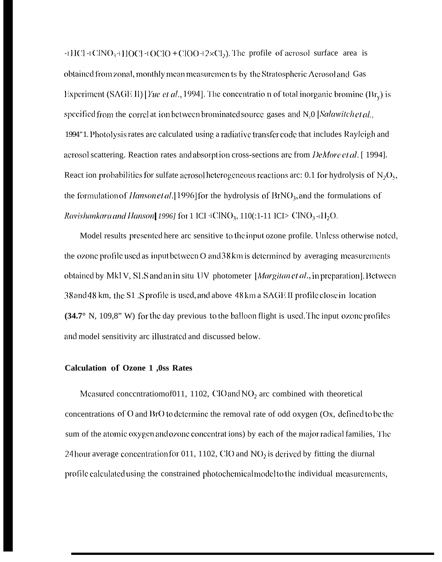-IHCl -IClNO<sub>3</sub>+HOCl -IOClO + ClOO+2×Cl<sub>2</sub>). The profile of aerosol surface area is obtained from zonal, monthly mean measuremen ts by the Stratospheric Aerosol and Gas Experiment (SAGE II) [Yue et al., 1994]. The concentration of total inorganic bromine (Br<sub>v</sub>) is specified from the correl at ion between brominated source gases and N,0 [Salawitch et al., 1994"1. Photolysis rates are calculated using a radiative transfer code that includes Rayleigh and acrosol scattering. Reaction rates and absorption cross-sections are from *DeMore et al.* [1994]. React ion probabilities for sulfate aerosol heterogeneous reactions arc: 0.1 for hydrolysis of  $N_2O_5$ , the formulation of *Hanson et al.* [1996] for the hydrolysis of  $BrNO<sub>3</sub>$ , and the formulations of *Ravishankara and Hanson* [1996] for 1 ICI  $\pm$ ClNO<sub>3</sub>, 110(:1-11 ICI> ClNO<sub>3</sub> $\pm$ H<sub>2</sub>O.

Model results presented here arc sensitive to the input ozone profile. Unless otherwise noted, the ozone profile used as input between O and 38 km is determined by averaging measurements obtained by MkIV, SLS and an in situ UV photometer [Margitan et al., in preparation]. Between 38 and 48 km, the S1 S profile is used, and above 48 km a SAGE II profile close in location  $(34.7^{\circ}$  N, 109,8" W) for the day previous to the balloon flight is used. The input ozone profiles and model sensitivity arc illustrated and discussed below.

### Calculation of Ozone 1,0ss Rates

Measured concentratiomof 011, 1102, ClO and  $NO<sub>2</sub>$  are combined with theoretical concentrations of  $O$  and  $BrO$  to determine the removal rate of odd oxygen  $Ox$ , defined to be the sum of the atomic oxygen and ozone concentrations) by each of the major radical families, The 24 hour average concentration for 011, 1102, CIO and  $NO<sub>2</sub>$  is derived by fitting the diurnal profile calculated using the constrained photochemical model to the individual measurements,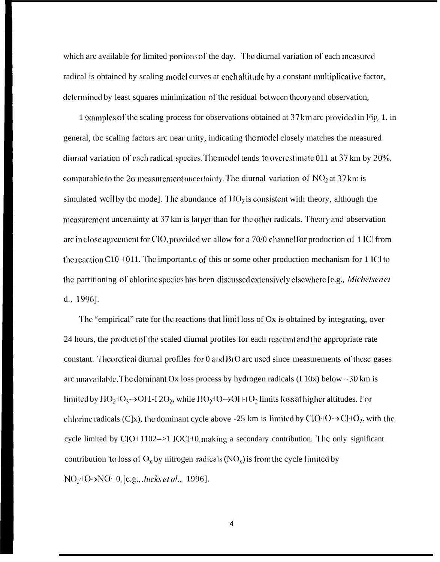which are available for limited portions of the day. The diurnal variation of each measured radical is obtained by scaling model curves at each altitude by a constant multiplicative factor, determined by least squares minimization of the residual between theory and observation,

1 *ixamples of the scaling process for observations obtained at 37 km arc provided in Fig. 1. in* general, tbc scaling factors arc near unity, indicating tbc model closely matches the measured diurnal variation of each radical species. The model tends to ovcrestimate 011 at  $37 \text{ km}$  by  $20\%$ , comparable to the  $2\sigma$  measurement uncertainty. The diurnal variation of NO<sub>2</sub> at 37 km is simulated well by tbc mode]. The abundance of  $HO<sub>2</sub>$  is consistent with theory, although the measurement uncertainty at 37 km is larger than for the other radicals. Theory and observation arc in close agreement for ClO, provided wc allow for a 70/0 channel for production of 1 ICI from the reaction C10  $\pm$  011. The important.c of this or some other production mechanism for 1 ICl to the partitioning of chlorine species has been discussed extensively elsewhere [e.g., Michelsen et d., 1996].

The "empirical" rate for the reactions that limit loss of Ox is obtained by integrating, over 24 hours, the product of the scaled diurnal profiles for each reactant and the appropriate rate constant. Theoretical diurnal profiles for 0 and BrO arc used since measurements of these gases arc unavailable. The dominant Ox loss process by hydrogen radicals (I 10x) below  $\sim$ 30 km is limited by  $11O_2+ O_3 \rightarrow O11-12O_2$ , while  $11O_2+ O \rightarrow O11-1 O_2$  limits loss at higher altitudes. For chlorinc radicals (C]x), the dominant cycle above -25 km is limited by ClO+O- $\rightarrow$ Cl+O<sub>2</sub>, with the cycle limited by  $ClO+1102\rightarrow>1$   $IC1+0$ , making a secondary contribution. The only significant contribution to loss of  $O_x$  by nitrogen radicals (NO<sub>x</sub>) is from the cycle limited by NO<sub>2</sub><sup>1</sup>()->NO<sup>1</sup> 0<sub>2</sub> [e.g., *Jucks et al.*, 1996].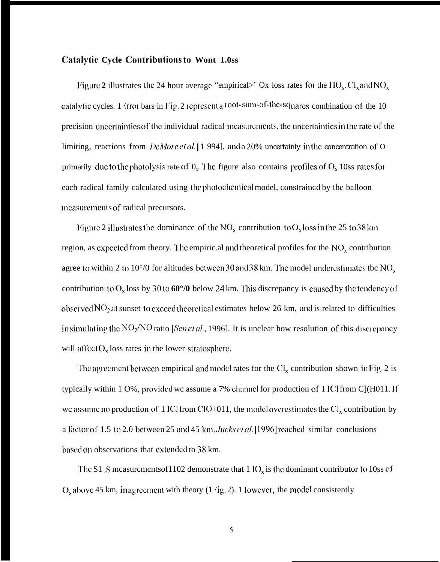## **Catalytic Cycle Contributions to Wont 1.0ss**

Figure 2 illustrates the 24 hour average "empirical>' Ox loss rates for the  $HO_x, Cl_x$  and  $NO_x$ catalytic cycles. 1 *irror* bars in Fig. 2 represent a root-sum-of-the-squares combination of the 10 precision uncertainties of the individual radical measurements, the uncertainties in the rate of the limiting, reactions from *DeMore et al.* [1994], and a 20% uncertainly in the concentration of O primarily due to the photolysis rate of  $0_3$ . The figure also contains profiles of  $O_x$  10ss rates for each radical family calculated using the photochemical model, constrained by the balloon measurements of radical precursors.

Figure 2 illustrates the dominance of the  $NO_x$  contribution to  $O_x$  loss in the 25 to 38 km region, as expected from theory. The empiric al and theoretical profiles for the  $NO<sub>x</sub>$  contribution agree to within 2 to 10°/0 for altitudes between 30 and 38 km. The model underestimates tbc  $NO_x$ contribution to  $O_x$  loss by 30 to 60 $\degree$ /0 below 24 km. This discrepancy is caused by the tendency of observed  $NO<sub>2</sub>$  at sunset to exceed theoretical estimates below 26 km, and is related to difficulties in simulating the  $NO<sub>2</sub>/NO$  ratio [*Sen et al.*, 1996]. It is unclear how resolution of this discrepancy will affect  $O_x$  loss rates in the lower stratosphere.

The agreement between empirical and model rates for the  $Cl<sub>x</sub>$  contribution shown in Fig. 2 is typically within 1 O%, provided we assume a 7% channel for production of 1 ICl from C](H011. If we assume no production of 1 ICl from ClO+011, the model overestimates the  $Cl_x$  contribution by a factor of 1.5 to 2.0 between 25 and 45 km. Jucks et al. [1996] reached similar conclusions based on observations that extended to 38 km.

The S1 S measurements of 1102 demonstrate that  $1 \text{IO}_x$  is the dominant contributor to 10ss of  $O_x$  above 45 km, inagreement with theory (1 'ig. 2). 1 lowever, the model consistently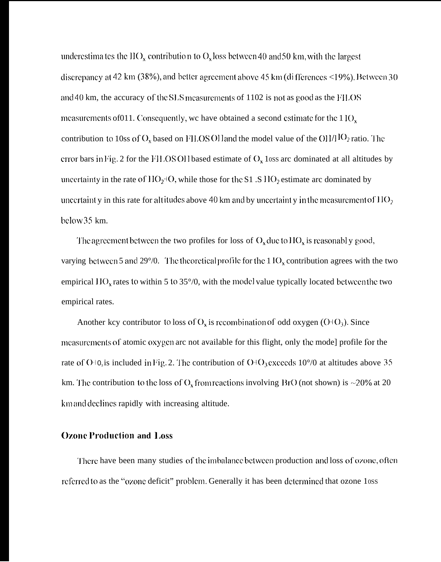underestimates the IIO<sub>x</sub> contribution to O<sub>x</sub> loss between 40 and 50 km, with the largest discrepancy at 42 km (38%), and better agreement above 45 km (di fferences <19%). Between 30 and 40 km, the accuracy of the SLS measurements of 1102 is not as good as the FILOS measurements of 011. Consequently, we have obtained a second estimate for the 1 IO<sub>x</sub> contribution to 10ss of  $O_x$  based on FILOSOH and the model value of the OH/HO<sub>2</sub> ratio. The error bars in Fig. 2 for the FH.OSOH based estimate of  $O_x$  loss arc dominated at all altitudes by uncertainty in the rate of  $HO_2$ +O, while those for the S1 .S  $HO_2$  estimate arc dominated by uncertaint y in this rate for altitudes above 40 km and by uncertaint y in the measurement of  $11O_2$ below 35 km.

The agreement between the two profiles for loss of  $O_x$  due to  $HO_x$  is reasonably good, varying between 5 and 29 $\degree$ /0. The theoretical profile for the 1 IO<sub>x</sub> contribution agrees with the two empirical  $HO_x$  rates to within 5 to 35 $\degree$ /0, with the model value typically located between the two empirical rates.

Another kcy contributor to loss of  $O_x$  is recombination of odd oxygen (O+O<sub>3</sub>). Since measurements of atomic oxygen arc not available for this flight, only the mode] profile for the rate of O+0, is included in Fig. 2. The contribution of O+O<sub>3</sub> exceeds 10 $\degree$ /0 at altitudes above 35 km. The contribution to the loss of  $O_x$  from reactions involving BrO (not shown) is ~20% at 20 km and declines rapidly with increasing altitude.

# **Ozone Production and Loss**

There have been many studies of the imbalance between production and loss of ozone, often referred to as the "ozone deficit" problem. Generally it has been determined that ozone 10ss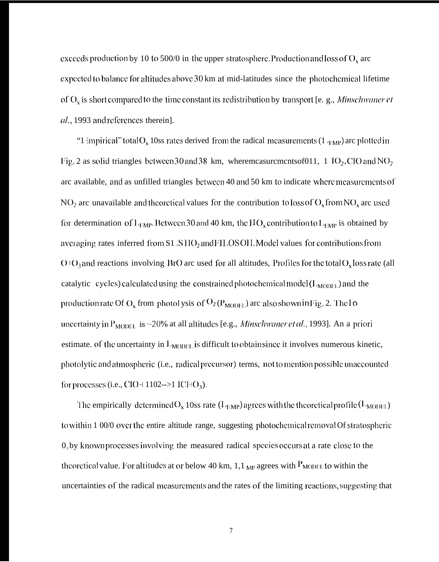execeds production by 10 to 500/0 in the upper stratosphere. Production and loss of  $O_x$  are expected to balance for altitudes above 30 km at mid-latitudes since the photochemical lifetime of  $O_x$  is short compared to the time constant its redistribution by transport [e. g., Minschwaner et al., 1993 and references therein].

"1 impirical" total  $O_x$  10ss rates derived from the radical measurements (1  $_{EMP}$ ) are plotted in Fig. 2 as solid triangles between 30 and 38 km, where measurements of 011, 1 IO<sub>2</sub>, CIO and NO<sub>2</sub> arc available, and as unfilled triangles between 40 and 50 km to indicate where measurements of NO<sub>2</sub> arc unavailable and theoretical values for the contribution to loss of  $O_x$  from NO<sub>x</sub> arc used for determination of  $L_{EMP}$ . Between 30 and 40 km, the  $HO_x$  contribution to  $L_{EMP}$  is obtained by averaging rates inferred from S1 SHO<sub>2</sub> and FILOS OH. Model values for contributions from  $O(O_3)$  and reactions involving BrO arc used for all altitudes, Profiles for the total  $O_x$  loss rate (all catalytic cycles) calculated using the constrained photochemical model  $(L_{MODE})$  and the production rate Of O<sub>x</sub> from photol ysis of  $O_2(P_{\text{MODH}})$  are also shown in Fig. 2. The 1 $\sigma$ uncertainty in  $P_{MODEL}$  is ~20% at all altitudes [e.g., *Minschwaner et al.*, 1993]. An a priori estimate. of the uncertainty in  $L_{MODE}$  is difficult to obtain since it involves numerous kinetic, photolytic and atmospheric (i.e., radical precursor) terms, not to mention possible unaccounted for processes (i.e., ClO+1102-->1 lCl+O<sub>3</sub>).

The empirically determined  $O_x$  10ss rate  $(I_{\text{LMP}})$  agrees with the theoretical profile  $(I_{\text{MODE}})$ to within 1 00/0 over the entire altitude range, suggesting photochemical removal Of stratospheric  $0<sub>3</sub>$  by known processes involving the measured radical species occurs at a rate close to the theoretical value. For altitudes at or below 40 km,  $1.1_{MP}$  agrees with  $P_{MODE}$  to within the uncertainties of the radical measurements and the rates of the limiting reactions, suggesting that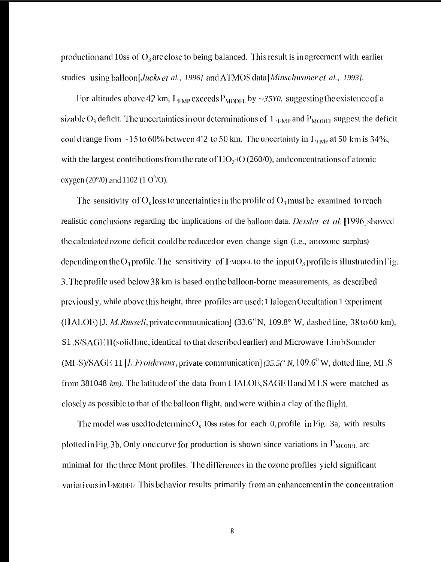production and 10ss of  $O_3$  are close to being balanced. This result is in agreement with earlier studies using balloon[*Jucks et al., 1996]* and ATMOS data [*Minschwaner et al., 1993]*.

For altitudes above 42 km,  $L_{EMP}$  exceeds  $P_{MODF1}$  by ~35Y0, suggesting the existence of a sizable  $O_3$  deficit. The uncertainties in our determinations of  $1_{\text{FMP}}$  and  $P_{\text{MODE}}$  suggest the deficit could range from -15 to 60% between 4'2 to 50 km. The uncertainty in  $L_{EMP}$  at 50 km is 34%, with the largest contributions from the rate of  $11O_2$ + $O(260/0)$ , and concentrations of atomic oxygen (20 $^{\circ}$ /0) and 1102 (1 O $^{\circ}$ /O).

The sensitivity of  $O_x$  loss to uncertainties in the profile of  $O_3$  must be examined to reach realistic conclusions regarding tbc implications of the balloon data. *Dessler et al.* [1996] showed the calculated ozone deficit could be reduced or even change sign (i.e., an ozone surplus) depending on the  $O_3$  profile. The sensitivity of 1 model to the input  $O_3$  profile is illustrated in Fig. 3. The profile used below 38 km is based on the balloon-borne measurements, as described previously, while above this height, three profiles are used: 1 lalogen Occultation 1 syperiment (HALOE) [J. *M. Russell*, private communication]  $(33.6^{\circ})$ N,  $109.8^{\circ}$  W, dashed line, 38 to 60 km), S1 S/SAGE II(solid line, identical to that described earlier) and Microwave Limb Sounder (MLS)/SAGE 11 [L. Froidevaux, private communication] (35.5(' N, 109.6° W, dotted line, MLS from 381048 km). The latitude of the data from 1 IALOE, SAGE Hand MLS were matched as closely as possible to that of the balloon flight, and were within a clay of the flight.

The model was used to determine  $O_x$  10ss rates for each  $O_3$  profile in Fig. 3a, with results plotted in Fig. 3b. Only one curve for production is shown since variations in  $P_{MODH}$  are minimal for the three Mont profiles. The differences in the ozone profiles yield significant variations in *PMODEL*. This behavior results primarily from an enhancement in the concentration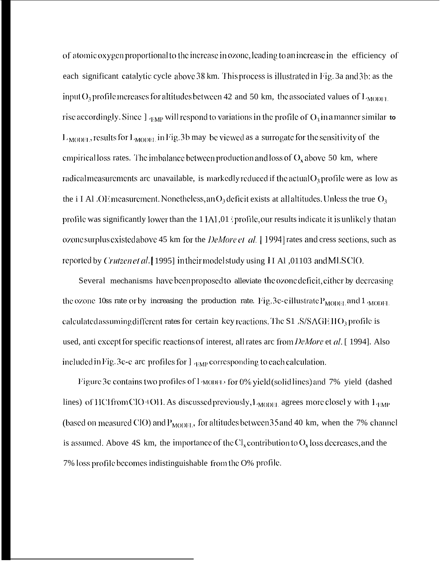of atomic oxygen proportional to the increase in ozone, leading to an increase in the efficiency of each significant catalytic cycle above 38 km. This process is illustrated in Fig. 3a and 3b: as the input  $O_3$  profile increases for altitudes between 42 and 50 km, the associated values of  $L_{\text{MODEL}}$ rise accordingly. Since  $\int_{\text{GMP}}$  will respond to variations in the profile of  $O_3$  in a manner similar to  $L_{\text{MODEL}}$ , results for  $L_{\text{MODEL}}$  in Fig. 3b may be viewed as a surrogate for the sensitivity of the empirical loss rates. The imbalance between production and loss of  $O_x$  above 50 km, where radical measurements are unavailable, is markedly reduced if the actual  $O_3$  profile were as low as the i I Al .OE measurement. Nonetheless, an O<sub>3</sub> deficit exists at all altitudes. Unless the true O<sub>3</sub> profile was significantly lower than the 1 IAI,01 sprofile, our results indicate it is unlikely that an ozone surplus existed above 45 km for the *DeMore et al.* [1994] rates and cress sections, such as reported by Crutzen et al. [1995] in their model study using H A1,01103 and MLSCIO.

Several mechanisms have been proposed to alleviate the ozone deficit, either by decreasing the ozone 10ss rate or by increasing the production rate. Fig. 3c-cillustrate P<sub>MODEL</sub> and 1 <sub>MODEL</sub> calculated assuming different rates for certain key reactions. The S1 S/SAGE HO3 profile is used, anti except for specific reactions of interest, all rates arc from *DeMore* et al. [1994]. Also included in Fig. 3c-c are profiles for  $\frac{1}{2}$   $_{EMP}$  corresponding to each calculation.

Figure 3c contains two profiles of I MODEL, for 0% yield (solid lines) and 7% yield (dashed lines) of HCl from ClO+OH. As discussed previously,  $L_{MODH}$  agrees more closel y with  $L_{FMP}$ (based on measured ClO) and  $P_{MODE}$ , for altitudes between 35 and 40 km, when the 7% channel is assumed. Above 4S km, the importance of the  $Cl_x$  contribution to  $O_x$  loss decreases, and the 7% loss profile becomes indistinguishable from the O% profile.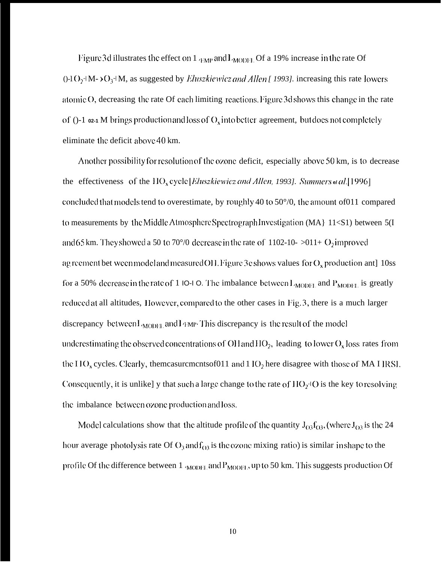Figure 3d illustrates the effect on 1  $_{EMP}$  and  $1_{MODEL}$  Of a 19% increase in the rate Of ()-l O<sub>2</sub>+M- > O<sub>3</sub>+M, as suggested by *Eluszkiewicz and Allen* [ 1993]. increasing this rate lowers atomic  $O$ , decreasing the rate Of each limiting reactions. Figure 3d shows this change in the rate of ( $-1$   $\infty$ -1 M brings production and loss of  $O_x$  into better agreement, but does not completely eliminate the deficit above 40 km.

Another possibility for resolution of the ozone deficit, especially above  $50$  km, is to decrease the effectiveness of the  $HO_x$  cycle *[Eluszkiewicz and Allen, 1993]*. *Summers et al.* [1996] concluded that models tend to overestimate, by roughly 40 to  $50^{\circ}/0$ , the amount of011 compared 10 measurements by the Middle Atmosphere Spectrograph Investigation (MA}  $11 < S1$ ) between  $5(I)$ and 65 km. They showed a 50 to 70°/0 decrease in the rate of 1102-10- >011+  $O_2$  improved ag recment bet ween model and measured OH. Figure 3e shows values for  $O_x$  production ant] 10ss for a 50% decrease in the rate of 1 IO-I O. The imbalance between  $L_{MODH,}$  and  $P_{MODH,}$  is greatly reduced at all altitudes, 1 lowever, compared to the other cases in  $Fig. 3$ , there is a much larger discrepancy between  $L_{MODE}$ , and  $L_{F}$ . This discrepancy is the result of the model underestimating the observed concentrations of OH and  $HO_2$ , leading to lower  $O_x$  loss rates from the IIO<sub>x</sub> cycles. Clearly, themcasurcmcntsof011 and  $11O_2$  here disagree with those of MA I IRSI. Consequently, it is unlike] y that such a large change to the rate of  $110<sub>2</sub>$ <sup>1</sup>O is the key to resolving the imbalance between ozone production and loss.

Model calculations show that the altitude profile of the quantity  $J_{03}f_{03}$ , (where  $J_{03}$  is the 24 hour average photolysis rate Of  $O_3$  and  $f_{O3}$  is the ozone mixing ratio) is similar in shape to the profile Of the difference between  $1 \text{ (MOD)H}$ , and  $P_{MODH}$ , up to 50 km. This suggests production Of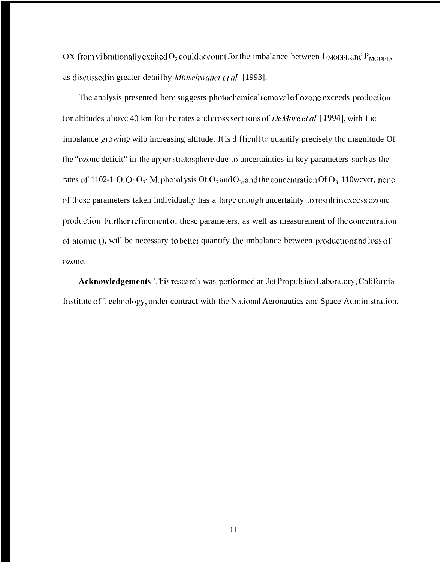OX from vibrationally excited  $O_2$  could account for the imbalance between  $I_{\text{MODE}}$  and  $P_{\text{MODE}}$ , as discussed in greater detail by *Minschwaner et al.* [1993].

The analysis presented here suggests photochemical removal of ozone exceeds production for altitudes above 40 km for the rates and cross sect ions of *DeMore et al.* [1994], with the imbalance growing wilb increasing altitude. It is difficult to quantify precisely the magnitude Of the "ozone deficit" in the upper stratosphere due to uncertainties in key parameters such as the rates of 1102-1  $O$ ,  $O \cdot O_2 \cdot M$ , photol ysis Of  $O_2$  and  $O_3$ , and the concentration Of  $O_3$ . 110 wever, none of these parameters taken individually has a large enough uncertainty to result in excess ozone production. Further refinement of these parameters, as well as measurement of the concentration of atomic (), will be necessary to better quantify the imbalance between production and loss of ozone.

Acknowledgements. This research was performed at Jet Propulsion Laboratory, California Institute of Technology, under contract with the National Aeronautics and Space Administration.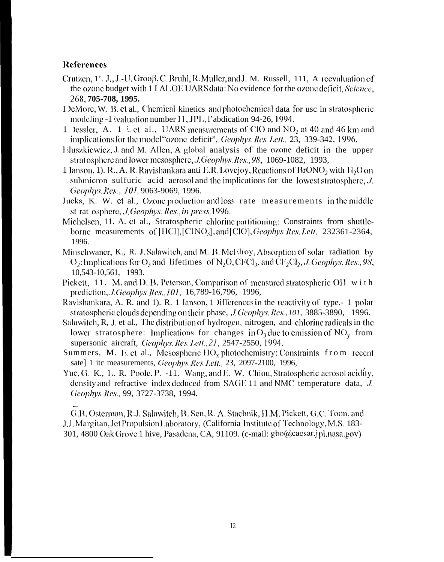# **References**

- Crutzen, 1'. J., J.-U. Grooβ, C. Bruhl, R. Muller, and J. M. Russell, 111, A reevaluation of the ozone budget with 1 I ALOEUARS data: No evidence for the ozone deficit, Science, 268, 705-708, 1995.
- I leMore, W. B. et al., Chemical kinetics and photochemical data for usc in stratospheric modeling -1 ivaluation number 11, JPL, l'abdication 94-26, 1994.
- 1 Dessler, A. 1  $\&$  et al., UARS measurements of ClO and NO<sub>2</sub> at 40 and 46 km and implications for the model "ozone deficit", *Geophys. Res. Lett.*, 23, 339-342, 1996.
- Eluszkiewicz, J. and M. Allen, A global analysis of the ozone deficit in the upper strat osphere and lower mesosphere, *J. Geophys. Res.*, 98, 1069-1082, 1993,
- 1 Janson, 1). R., A. R. Rayishankara anti E.R. Lovejoy, Reactions of BrONO<sub>2</sub> with  $H_2O$  on submicron sulfuric acid aerosol and the implications for the lowest stratosphere, J. Geophys. Res., 101, 9063-9069, 1996.
- Jucks, K. W. et al., Ozone production and loss rate measurements in the middle st rat osphere, *J. Geophys. Res., in press*, 1996.
- Michelsen, 11. A. et al., Stratospheric chlorine partitioning: Constraints from shuttleborne measurements of [HCI], [CINO<sub>3</sub>], and [CIO], *Geophys. Res. Lett.* 232361-2364, 1996.
- Minschwaner, K., R. J. Salawitch, and M. B. McHiroy, Absorption of solar radiation by  $O_2$ : Implications for  $O_3$  and lifetimes of  $N_2O$ , CFCl<sub>3</sub>, and CF<sub>2</sub>Cl<sub>2</sub>, *J. Geophys. Res.*, 98, 10,543-10,561, 1993.
- Pickett, 11. M. and D. B. Peterson, Comparison of measured stratospheric OH with prediction, *J. Geophys. Res., 101*, 16,789-16,796, 1996,
- Ravishankara, A. R. and 1). R. 1 lanson, 1 lifterences in the reactivity of type.-1 polar stratospheric clouds depending on their phase, *J. Geophys. Res.*, 101, 3885-3890, 1996.
- Salawitch, R, J. et al., The distribution of hydrogen, nitrogen, and chlorine radicals in the lower stratosphere: Implications for changes in  $O_3$  due to emission of NO<sub>y</sub> from supersonic aircraft, Geophys. Res. Lett., 21, 2547-2550, 1994.
- Summers, M. E. et al., Mesospheric  $HO_x$ , photochemistry: Constraints from recent sate] 1 itc measurements, Geophys. Res. Lett., 23, 2097-2100, 1996,
- Yue, G. K., L. R. Poole, P. -11. Wang, and E. W. Chiou, Stratospheric aerosol acidity, density and refractive index deduced from SAGE 11 and NMC temperature data, J. Geophys. Res., 99, 3727-3738, 1994.

G.B. Osterman, R.J. Salawitch, B. Sen, R. A. Stachnik, H.M. Pickett, G.C. Toon, and J.J. Margitan, Jet Propulsion Laboratory, (California Institute of Technology, M.S. 183-301, 4800 Oak Grove 1 hive, Pasadena, CA, 91109. (c-mail: gbo@caesar.jpl.nasa.gov)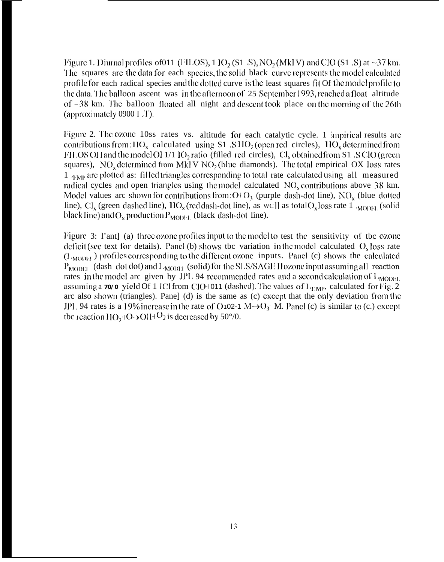Figure 1. Diurnal profiles of011 (FILOS), 1  $\rm{IO_2(S1 S)}$ , NO<sub>2</sub> (MkI V) and ClO (S1  $\rm{S}$ ) at ~37 km. The squares are the data for each species, the solid black curve represents the model calculated profile for each radical species and the dotted curve is the least squares fit Of the model profile to the data. The balloon ascent was in the afternoon of  $25$  September 1993, reached a float altitude of  $\sim$ 38 km. The balloon floated all night and descent took place on the morning of the 26th (approximately  $0900$  I  $\ddot{\text{I}}$ ).

Figure 2. The ozone 10ss rates vs. altitude for each catalytic cycle. 1 impirical results are contributions from:  $110_x$  calculated using S1  $. S110<sub>2</sub>$  (open red circles),  $110_x$  determined from FILOS OH and the model OH 1/1 10<sub>2</sub> ratio (filled red circles),  $Cl_x$  obtained from S1  $\angle$ S ClO (green squares), NO<sub>x</sub> determined from MkI V NO<sub>2</sub> (blue diamonds). The total empirical OX loss rates  $1$   $_{1\text{MP}}$  are plotted as: filled triangles corresponding to total rate calculated using all measured radical cycles and open triangles using the model calculated  $NO<sub>x</sub>$  contributions above 38 km. Model values arc shown for contributions from:  $O(O_3)$  (purple dash-dot line), NO<sub>x</sub> (blue dotted line),  $Cl_x$  (green dashed line),  $HO_x$  (red dash-dot line), as WC]] as total  $O_x$  loss rate  $1 \sqrt{\text{MODH}}$  (solid black line) and  $O_x$  production  $P_{MODH}$ , (black dash-dot line).

Figure 3: l'ant] (a) three ozone profiles input to the model to test the sensitivity of tbc ozone deficit (see text for details). Panel (b) shows tbc variation in the model calculated  $O<sub>x</sub>$  loss rate  $(L_{\text{MOBH}})$  profiles corresponding to the different ozone inputs. Panel (c) shows the calculated  $P_{\text{MODEL}}$  (dash dot dot) and  $I_{\text{MODEL}}$  (solid) for the SLS/SAGE Hozone input assuming all reaction rates in the model arc given by JPL 94 recommended rates and a second calculation of  $L_{MODEL}$ assuming a  $70/0$  yield Of 1 ICl from ClO+011 (dashed). The values of  $L_{EMP}$ , calculated for Fig. 2 arc also shown (triangles). Pane] (d) is the same as (c) except that the only deviation from the JPI, 94 rates is a 19% increase in the rate of O 102-1 M $\rightarrow$ O<sub>3</sub>+M. Panel (c) is similar to (c.) except tbc reaction  $H(O_2+O_2+O_1)H^O_2$  is decreased by 50°/0.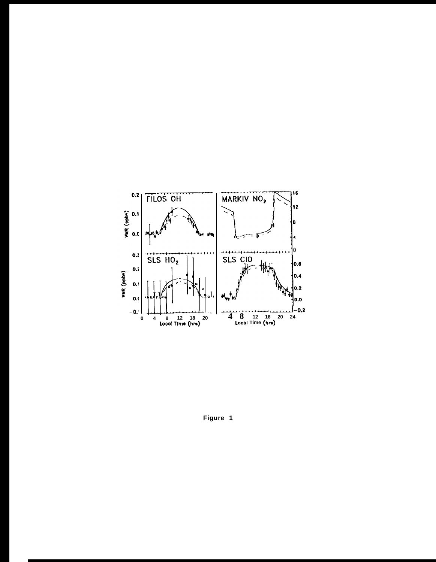

Figure 1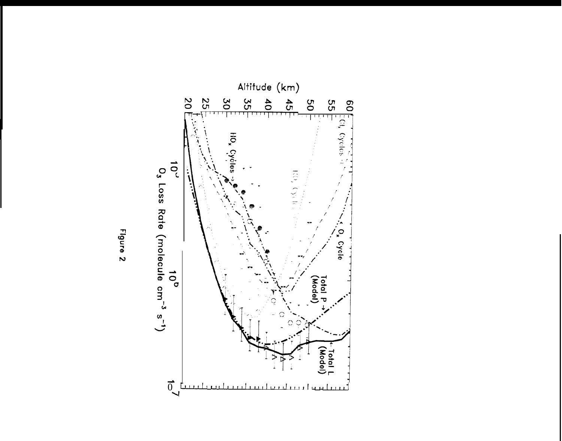

Figure<sub>2</sub>